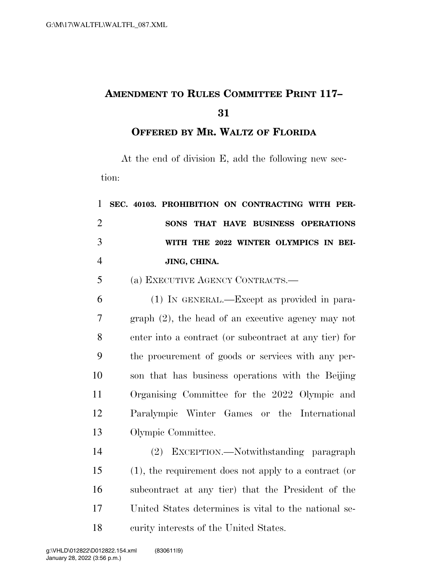## **AMENDMENT TO RULES COMMITTEE PRINT 117–**

**OFFERED BY MR. WALTZ OF FLORIDA**

At the end of division E, add the following new section:

| $\mathbf{1}$   | SEC. 40103. PROHIBITION ON CONTRACTING WITH PER-       |
|----------------|--------------------------------------------------------|
| $\overline{2}$ | SONS THAT HAVE BUSINESS OPERATIONS                     |
| 3              | WITH THE 2022 WINTER OLYMPICS IN BEI-                  |
| $\overline{4}$ | JING, CHINA.                                           |
| 5              | (a) EXECUTIVE AGENCY CONTRACTS.-                       |
| 6              | (1) IN GENERAL.—Except as provided in para-            |
| 7              | $graph(2)$ , the head of an executive agency may not   |
| 8              | enter into a contract (or subcontract at any tier) for |
| 9              | the procurement of goods or services with any per-     |
| 10             | son that has business operations with the Beijing      |
| 11             | Organising Committee for the 2022 Olympic and          |
| 12             | Paralympic Winter Games or the International           |
| 13             | Olympic Committee.                                     |
| 14             | (2) EXCEPTION.—Notwithstanding paragraph               |
| 15             | (1), the requirement does not apply to a contract (or  |
| 16             | subcontract at any tier) that the President of the     |
| 17             | United States determines is vital to the national se-  |
| 18             | curity interests of the United States.                 |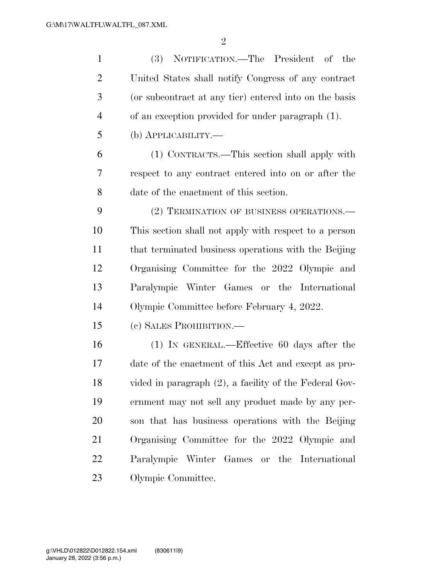| $\mathbf{1}$   | (3) NOTIFICATION.—The President of the                 |
|----------------|--------------------------------------------------------|
| $\overline{2}$ | United States shall notify Congress of any contract    |
| 3              | (or subcontract at any tier) entered into on the basis |
| $\overline{4}$ | of an exception provided for under paragraph (1).      |
| 5              | (b) <b>АРР</b> ЫСАВШТҮ.—                               |
| 6              | (1) CONTRACTS.—This section shall apply with           |
| 7              | respect to any contract entered into on or after the   |
| 8              | date of the enactment of this section.                 |
| 9              | (2) TERMINATION OF BUSINESS OPERATIONS.-               |
| 10             | This section shall not apply with respect to a person  |
| 11             | that terminated business operations with the Beijing   |
| 12             | Organising Committee for the 2022 Olympic and          |
| 13             | Paralympic Winter Games or the International           |
| 14             | Olympic Committee before February 4, 2022.             |
| 15             | (c) SALES PROHIBITION.-                                |
| 16             | $(1)$ In GENERAL.—Effective 60 days after the          |
| 17             | date of the enactment of this Act and except as pro-   |
| 18             | vided in paragraph (2), a facility of the Federal Gov- |
| 19             | ernment may not sell any product made by any per-      |
| 20             | son that has business operations with the Beijing      |
| 21             | Organising Committee for the 2022 Olympic and          |
| 22             | Paralympic Winter Games or the International           |
| 23             | Olympic Committee.                                     |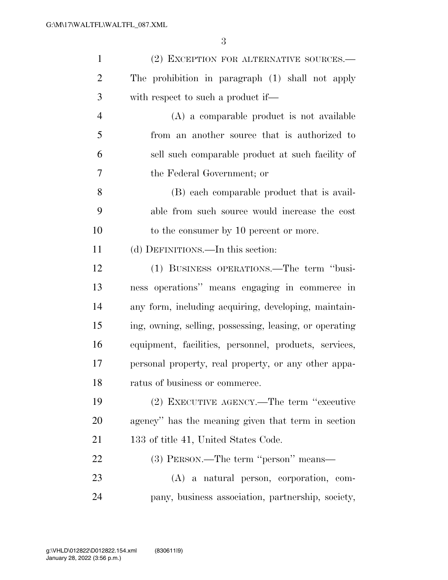| $\mathbf{1}$   | (2) EXCEPTION FOR ALTERNATIVE SOURCES.-                 |
|----------------|---------------------------------------------------------|
| $\overline{2}$ | The prohibition in paragraph (1) shall not apply        |
| 3              | with respect to such a product if—                      |
| $\overline{4}$ | (A) a comparable product is not available               |
| 5              | from an another source that is authorized to            |
| 6              | sell such comparable product at such facility of        |
| 7              | the Federal Government; or                              |
| 8              | (B) each comparable product that is avail-              |
| 9              | able from such source would increase the cost           |
| 10             | to the consumer by 10 percent or more.                  |
| 11             | (d) DEFINITIONS.—In this section:                       |
| 12             | (1) BUSINESS OPERATIONS.—The term "busi-                |
| 13             | ness operations" means engaging in commerce in          |
| 14             | any form, including acquiring, developing, maintain-    |
| 15             | ing, owning, selling, possessing, leasing, or operating |
| 16             | equipment, facilities, personnel, products, services,   |
| 17             | personal property, real property, or any other appa-    |
| 18             | ratus of business or commerce.                          |
| 19             | (2) EXECUTIVE AGENCY.—The term "executive               |
| 20             | agency" has the meaning given that term in section      |
| 21             | 133 of title 41, United States Code.                    |
| 22             | (3) PERSON.—The term "person" means—                    |
| 23             | (A) a natural person, corporation, com-                 |
| 24             | pany, business association, partnership, society,       |